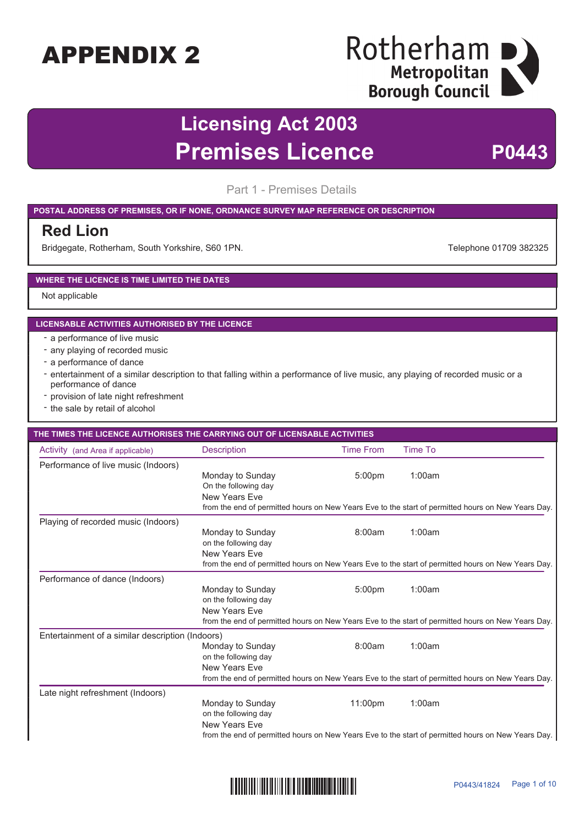## Rotherham D) Metropolitan **Borough Council**

## **Licensing Act 2003 Premises Licence** P0443

Part 1 - Premises Details

#### **POSTAL ADDRESS OF PREMISES, OR IF NONE, ORDNANCE SURVEY MAP REFERENCE OR DESCRIPTION**

#### **Red Lion**

Bridgegate, Rotherham, South Yorkshire, S60 1PN. Telephone 01709 382325

#### **WHERE THE LICENCE IS TIME LIMITED THE DATES**

Not applicable

#### **LICENSABLE ACTIVITIES AUTHORISED BY THE LICENCE**

- a performance of live music
- any playing of recorded music
- a performance of dance
- entertainment of a similar description to that falling within a performance of live music, any playing of recorded music or a performance of dance
- provision of late night refreshment
- the sale by retail of alcohol

| Activity (and Area if applicable)                | <b>Description</b>                                                                                 | <b>Time From</b>   | <b>Time To</b> |  |
|--------------------------------------------------|----------------------------------------------------------------------------------------------------|--------------------|----------------|--|
| Performance of live music (Indoors)              |                                                                                                    |                    |                |  |
|                                                  | Monday to Sunday                                                                                   | 5:00 <sub>pm</sub> | 1:00am         |  |
|                                                  | On the following day                                                                               |                    |                |  |
|                                                  | New Years Eve                                                                                      |                    |                |  |
|                                                  | from the end of permitted hours on New Years Eve to the start of permitted hours on New Years Day. |                    |                |  |
| Playing of recorded music (Indoors)              |                                                                                                    |                    |                |  |
|                                                  | Monday to Sunday                                                                                   | 8:00am             | 1:00am         |  |
|                                                  | on the following day                                                                               |                    |                |  |
|                                                  | New Years Eve                                                                                      |                    |                |  |
|                                                  | from the end of permitted hours on New Years Eve to the start of permitted hours on New Years Day. |                    |                |  |
| Performance of dance (Indoors)                   |                                                                                                    |                    |                |  |
|                                                  | Monday to Sunday                                                                                   | 5:00pm             | 1:00am         |  |
|                                                  | on the following day                                                                               |                    |                |  |
|                                                  | New Years Eve                                                                                      |                    |                |  |
|                                                  | from the end of permitted hours on New Years Eve to the start of permitted hours on New Years Day. |                    |                |  |
| Entertainment of a similar description (Indoors) |                                                                                                    |                    |                |  |
|                                                  | Monday to Sunday                                                                                   | 8:00am             | 1:00am         |  |
|                                                  | on the following day                                                                               |                    |                |  |
|                                                  | New Years Eve                                                                                      |                    |                |  |
|                                                  | from the end of permitted hours on New Years Eve to the start of permitted hours on New Years Day. |                    |                |  |
| Late night refreshment (Indoors)                 |                                                                                                    |                    |                |  |
|                                                  | Monday to Sunday                                                                                   | 11:00pm            | 1:00am         |  |
|                                                  | on the following day                                                                               |                    |                |  |
|                                                  | <b>New Years Eve</b>                                                                               |                    |                |  |
|                                                  | from the end of permitted hours on New Years Eve to the start of permitted hours on New Years Day. |                    |                |  |

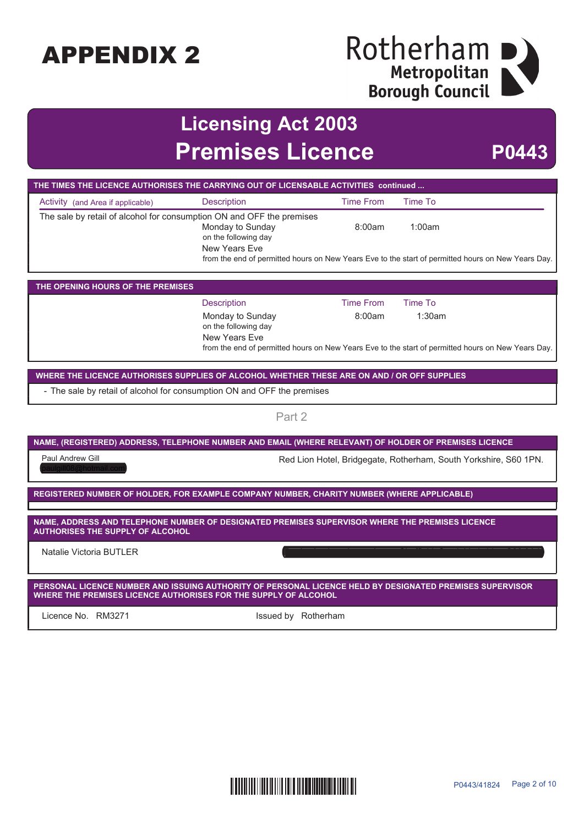# Rotherham D) Metropolitan<br>Borough Council

## **Licensing Act 2003 Premises Licence P0443**

| THE TIMES THE LICENCE AUTHORISES THE CARRYING OUT OF LICENSABLE ACTIVITIES continued |                                          |           |                                                                                                    |  |  |
|--------------------------------------------------------------------------------------|------------------------------------------|-----------|----------------------------------------------------------------------------------------------------|--|--|
| Activity (and Area if applicable)                                                    | <b>Description</b>                       | Time From | Time To                                                                                            |  |  |
| The sale by retail of alcohol for consumption ON and OFF the premises                | Monday to Sunday<br>on the following day | 8:00am    | 1:00am                                                                                             |  |  |
|                                                                                      | New Years Eve                            |           | from the end of permitted hours on New Years Eve to the start of permitted hours on New Years Day. |  |  |

**THE OPENING HOURS OF THE PREMISES**

| <b>Description</b>                                        | Time From | Time To                                                                                                      |
|-----------------------------------------------------------|-----------|--------------------------------------------------------------------------------------------------------------|
| Monday to Sunday<br>on the following day<br>New Years Eve | 8:00am    | 1:30am<br>from the end of permitted hours on New Years Eve to the start of permitted hours on New Years Day. |
|                                                           |           |                                                                                                              |

**WHERE THE LICENCE AUTHORISES SUPPLIES OF ALCOHOL WHETHER THESE ARE ON AND / OR OFF SUPPLIES**

- The sale by retail of alcohol for consumption ON and OFF the premises

Part 2

| NAME, (REGISTERED) ADDRESS, TELEPHONE NUMBER AND EMAIL (WHERE RELEVANT) OF HOLDER OF PREMISES LICENCE                                                                       |                                                                  |  |  |  |  |  |
|-----------------------------------------------------------------------------------------------------------------------------------------------------------------------------|------------------------------------------------------------------|--|--|--|--|--|
| Paul Andrew Gill                                                                                                                                                            | Red Lion Hotel, Bridgegate, Rotherham, South Yorkshire, S60 1PN. |  |  |  |  |  |
| REGISTERED NUMBER OF HOLDER, FOR EXAMPLE COMPANY NUMBER, CHARITY NUMBER (WHERE APPLICABLE)                                                                                  |                                                                  |  |  |  |  |  |
|                                                                                                                                                                             |                                                                  |  |  |  |  |  |
| NAME, ADDRESS AND TELEPHONE NUMBER OF DESIGNATED PREMISES SUPERVISOR WHERE THE PREMISES LICENCE<br><b>AUTHORISES THE SUPPLY OF ALCOHOL</b>                                  |                                                                  |  |  |  |  |  |
| Natalie Victoria BUTLER                                                                                                                                                     |                                                                  |  |  |  |  |  |
|                                                                                                                                                                             |                                                                  |  |  |  |  |  |
| PERSONAL LICENCE NUMBER AND ISSUING AUTHORITY OF PERSONAL LICENCE HELD BY DESIGNATED PREMISES SUPERVISOR<br>WHERE THE PREMISES LICENCE AUTHORISES FOR THE SUPPLY OF ALCOHOL |                                                                  |  |  |  |  |  |

Licence No. RM3271 **Example 20** Issued by Rotherham

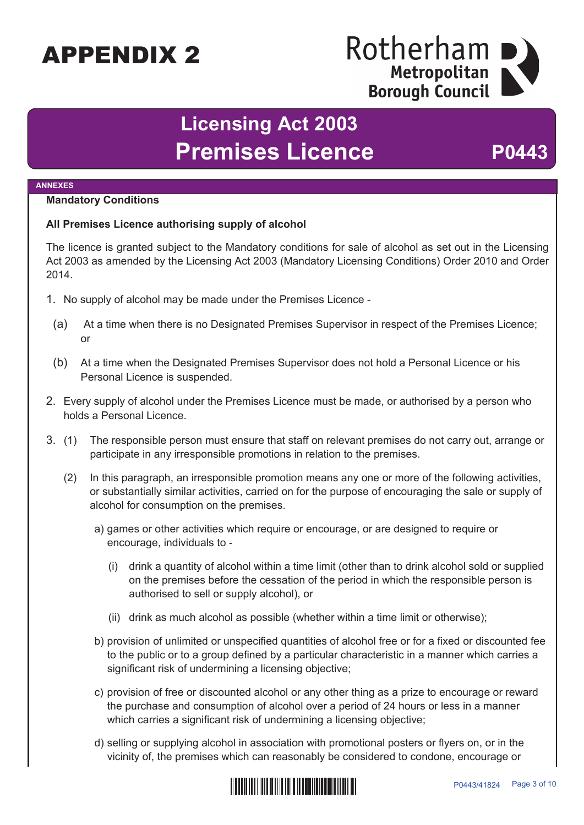## Rotherham Metropolitan **Borough Council**

## **Licensing Act 2003** Premises Licence P0443

#### **ANNEXES**

#### **Mandatory Conditions**

#### **All Premises Licence authorising supply of alcohol**

The licence is granted subject to the Mandatory conditions for sale of alcohol as set out in the Licensing Act 2003 as amended by the Licensing Act 2003 (Mandatory Licensing Conditions) Order 2010 and Order 2014.

- 1. No supply of alcohol may be made under the Premises Licence
	- (a) At a time when there is no Designated Premises Supervisor in respect of the Premises Licence; or
	- (b) At a time when the Designated Premises Supervisor does not hold a Personal Licence or his Personal Licence is suspended.
- 2. Every supply of alcohol under the Premises Licence must be made, or authorised by a person who holds a Personal Licence.
- 3. (1) The responsible person must ensure that staff on relevant premises do not carry out, arrange or participate in any irresponsible promotions in relation to the premises.
	- (2) In this paragraph, an irresponsible promotion means any one or more of the following activities, or substantially similar activities, carried on for the purpose of encouraging the sale or supply of alcohol for consumption on the premises.
		- a) games or other activities which require or encourage, or are designed to require or encourage, individuals to -
			- (i) drink a quantity of alcohol within a time limit (other than to drink alcohol sold or supplied on the premises before the cessation of the period in which the responsible person is authorised to sell or supply alcohol), or
			- (ii) drink as much alcohol as possible (whether within a time limit or otherwise);
		- b) provision of unlimited or unspecified quantities of alcohol free or for a fixed or discounted fee to the public or to a group defined by a particular characteristic in a manner which carries a significant risk of undermining a licensing objective;
		- c) provision of free or discounted alcohol or any other thing as a prize to encourage or reward the purchase and consumption of alcohol over a period of 24 hours or less in a manner which carries a significant risk of undermining a licensing objective;
		- d) selling or supplying alcohol in association with promotional posters or flyers on, or in the vicinity of, the premises which can reasonably be considered to condone, encourage or

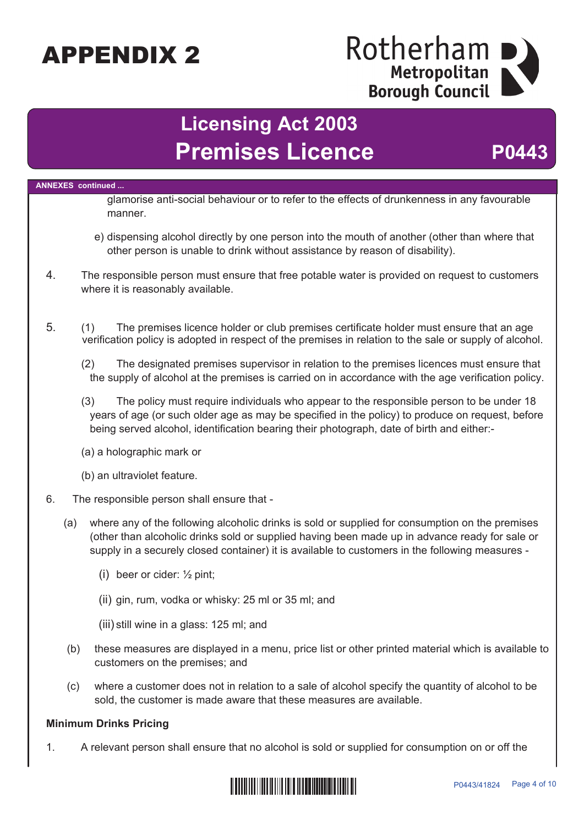## Rotherham Metropolitan **Borough Council**

## **Licensing Act 2003** Premises Licence P0443

**ANNEXES continued ...** glamorise anti-social behaviour or to refer to the effects of drunkenness in any favourable manner. e) dispensing alcohol directly by one person into the mouth of another (other than where that other person is unable to drink without assistance by reason of disability). 4. The responsible person must ensure that free potable water is provided on request to customers where it is reasonably available. 5. (1) The premises licence holder or club premises certificate holder must ensure that an age verification policy is adopted in respect of the premises in relation to the sale or supply of alcohol. (2) The designated premises supervisor in relation to the premises licences must ensure that the supply of alcohol at the premises is carried on in accordance with the age verification policy. (3) The policy must require individuals who appear to the responsible person to be under 18 years of age (or such older age as may be specified in the policy) to produce on request, before being served alcohol, identification bearing their photograph, date of birth and either:- (a) a holographic mark or (b) an ultraviolet feature. 6. The responsible person shall ensure that - (a) where any of the following alcoholic drinks is sold or supplied for consumption on the premises (other than alcoholic drinks sold or supplied having been made up in advance ready for sale or supply in a securely closed container) it is available to customers in the following measures - (i) beer or cider: ½ pint; (ii) gin, rum, vodka or whisky: 25 ml or 35 ml; and (iii) still wine in a glass: 125 ml; and (b) these measures are displayed in a menu, price list or other printed material which is available to customers on the premises; and (c) where a customer does not in relation to a sale of alcohol specify the quantity of alcohol to be sold, the customer is made aware that these measures are available. **Minimum Drinks Pricing**

1. A relevant person shall ensure that no alcohol is sold or supplied for consumption on or off the

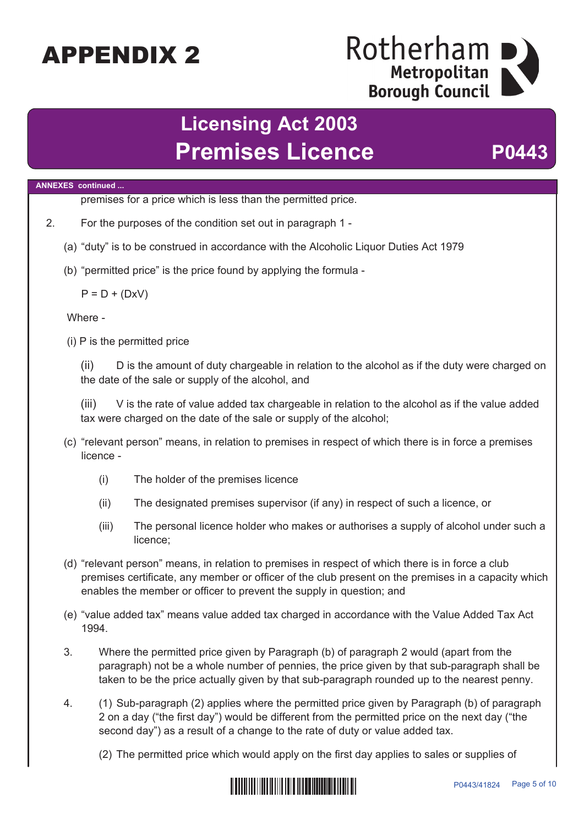## Rotherham Metropolitan **Borough Council**

## **Licensing Act 2003** Premises Licence P0443

#### **ANNEXES continued ...**

premises for a price which is less than the permitted price.

- 2. For the purposes of the condition set out in paragraph 1
	- (a) "duty" is to be construed in accordance with the Alcoholic Liquor Duties Act 1979
	- (b) "permitted price" is the price found by applying the formula -

 $P = D + (DxV)$ 

Where -

(i) P is the permitted price

(ii) D is the amount of duty chargeable in relation to the alcohol as if the duty were charged on the date of the sale or supply of the alcohol, and

(iii) V is the rate of value added tax chargeable in relation to the alcohol as if the value added tax were charged on the date of the sale or supply of the alcohol;

- (c) "relevant person" means, in relation to premises in respect of which there is in force a premises licence -
	- (i) The holder of the premises licence
	- (ii) The designated premises supervisor (if any) in respect of such a licence, or
	- (iii) The personal licence holder who makes or authorises a supply of alcohol under such a licence;
- (d) "relevant person" means, in relation to premises in respect of which there is in force a club premises certificate, any member or officer of the club present on the premises in a capacity which enables the member or officer to prevent the supply in question; and
- (e) "value added tax" means value added tax charged in accordance with the Value Added Tax Act 1994.
- 3. Where the permitted price given by Paragraph (b) of paragraph 2 would (apart from the paragraph) not be a whole number of pennies, the price given by that sub-paragraph shall be taken to be the price actually given by that sub-paragraph rounded up to the nearest penny.
- 4. (1) Sub-paragraph (2) applies where the permitted price given by Paragraph (b) of paragraph 2 on a day ("the first day") would be different from the permitted price on the next day ("the second day") as a result of a change to the rate of duty or value added tax.
	- (2) The permitted price which would apply on the first day applies to sales or supplies of

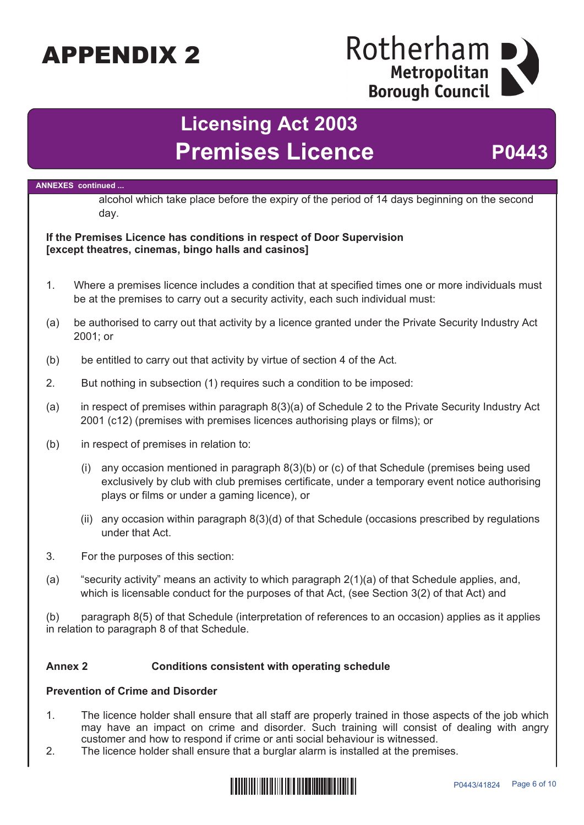## Rotherham Metropolitan **Borough Council**

## **Licensing Act 2003 Premises Licence P0443**

#### **ANNEXES continued ...**

alcohol which take place before the expiry of the period of 14 days beginning on the second day.

#### **If the Premises Licence has conditions in respect of Door Supervision [except theatres, cinemas, bingo halls and casinos]**

- 1. Where a premises licence includes a condition that at specified times one or more individuals must be at the premises to carry out a security activity, each such individual must:
- (a) be authorised to carry out that activity by a licence granted under the Private Security Industry Act 2001; or
- (b) be entitled to carry out that activity by virtue of section 4 of the Act.
- 2. But nothing in subsection (1) requires such a condition to be imposed:
- (a) in respect of premises within paragraph 8(3)(a) of Schedule 2 to the Private Security Industry Act 2001 (c12) (premises with premises licences authorising plays or films); or
- (b) in respect of premises in relation to:
	- (i) any occasion mentioned in paragraph 8(3)(b) or (c) of that Schedule (premises being used exclusively by club with club premises certificate, under a temporary event notice authorising plays or films or under a gaming licence), or
	- (ii) any occasion within paragraph 8(3)(d) of that Schedule (occasions prescribed by regulations under that Act.
- 3. For the purposes of this section:
- (a) "security activity" means an activity to which paragraph 2(1)(a) of that Schedule applies, and, which is licensable conduct for the purposes of that Act, (see Section 3(2) of that Act) and

(b) paragraph 8(5) of that Schedule (interpretation of references to an occasion) applies as it applies in relation to paragraph 8 of that Schedule.

#### **Annex 2 Conditions consistent with operating schedule**

#### **Prevention of Crime and Disorder**

- 1. The licence holder shall ensure that all staff are properly trained in those aspects of the job which may have an impact on crime and disorder. Such training will consist of dealing with angry customer and how to respond if crime or anti social behaviour is witnessed.
- 2. The licence holder shall ensure that a burglar alarm is installed at the premises.

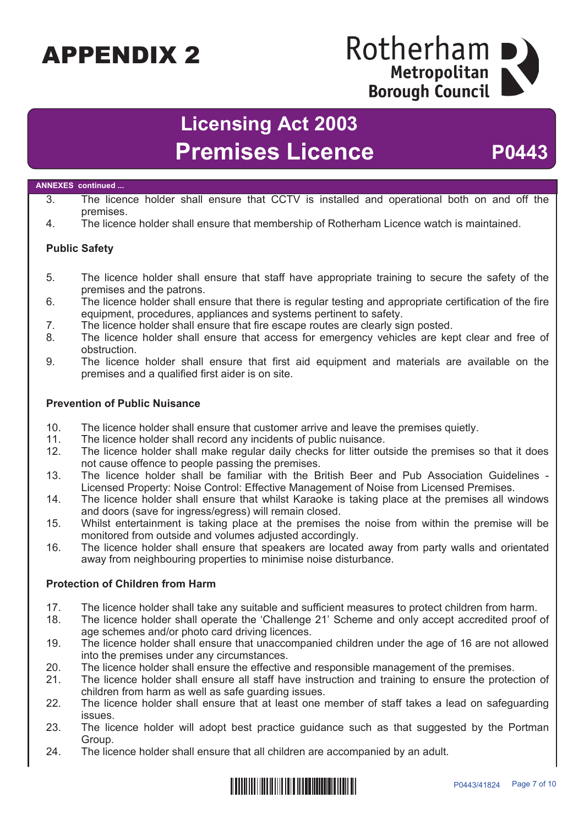## Rotherham D) Metropolitan **Borough Council**

## **Licensing Act 2003** Premises Licence P0443

#### **ANNEXES continued ...**

- 3. The licence holder shall ensure that CCTV is installed and operational both on and off the premises.
- 4. The licence holder shall ensure that membership of Rotherham Licence watch is maintained.

#### **Public Safety**

- 5. The licence holder shall ensure that staff have appropriate training to secure the safety of the premises and the patrons.
- 6. The licence holder shall ensure that there is regular testing and appropriate certification of the fire equipment, procedures, appliances and systems pertinent to safety.
- 7. The licence holder shall ensure that fire escape routes are clearly sign posted.
- 8. The licence holder shall ensure that access for emergency vehicles are kept clear and free of obstruction.
- 9. The licence holder shall ensure that first aid equipment and materials are available on the premises and a qualified first aider is on site.

#### **Prevention of Public Nuisance**

- 10. The licence holder shall ensure that customer arrive and leave the premises quietly.
- 11. The licence holder shall record any incidents of public nuisance.
- 12. The licence holder shall make regular daily checks for litter outside the premises so that it does not cause offence to people passing the premises.
- 13. The licence holder shall be familiar with the British Beer and Pub Association Guidelines Licensed Property: Noise Control: Effective Management of Noise from Licensed Premises.
- 14. The licence holder shall ensure that whilst Karaoke is taking place at the premises all windows and doors (save for ingress/egress) will remain closed.
- 15. Whilst entertainment is taking place at the premises the noise from within the premise will be monitored from outside and volumes adjusted accordingly.
- 16. The licence holder shall ensure that speakers are located away from party walls and orientated away from neighbouring properties to minimise noise disturbance.

#### **Protection of Children from Harm**

- 17. The licence holder shall take any suitable and sufficient measures to protect children from harm.
- 18. The licence holder shall operate the 'Challenge 21' Scheme and only accept accredited proof of age schemes and/or photo card driving licences.
- 19. The licence holder shall ensure that unaccompanied children under the age of 16 are not allowed into the premises under any circumstances.
- 20. The licence holder shall ensure the effective and responsible management of the premises.
- 21. The licence holder shall ensure all staff have instruction and training to ensure the protection of children from harm as well as safe guarding issues.
- 22. The licence holder shall ensure that at least one member of staff takes a lead on safeguarding issues.
- 23. The licence holder will adopt best practice guidance such as that suggested by the Portman Group.
- 24. The licence holder shall ensure that all children are accompanied by an adult.

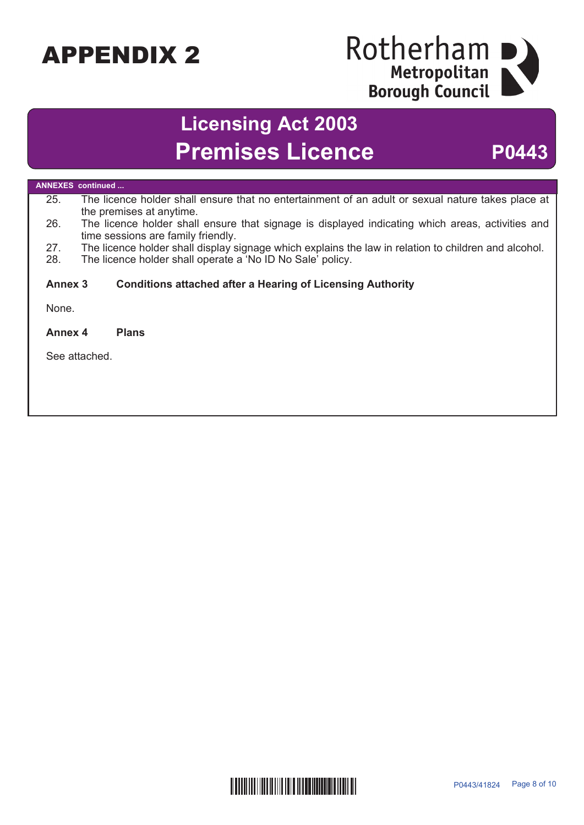# Rotherham<br>
Metropolitan<br>
Borough Council

## **Licensing Act 2003 Premises Licence** P0443

|                | <b>ANNEXES</b> continued                                                                                                                   |                                                                                                   |  |  |
|----------------|--------------------------------------------------------------------------------------------------------------------------------------------|---------------------------------------------------------------------------------------------------|--|--|
| 25.            |                                                                                                                                            | The licence holder shall ensure that no entertainment of an adult or sexual nature takes place at |  |  |
| 26.            | the premises at anytime.<br>The licence holder shall ensure that signage is displayed indicating which areas, activities and               |                                                                                                   |  |  |
| 27.            | time sessions are family friendly.<br>The licence holder shall display signage which explains the law in relation to children and alcohol. |                                                                                                   |  |  |
| 28.            | The licence holder shall operate a 'No ID No Sale' policy.                                                                                 |                                                                                                   |  |  |
|                |                                                                                                                                            |                                                                                                   |  |  |
| Annex 3        |                                                                                                                                            | <b>Conditions attached after a Hearing of Licensing Authority</b>                                 |  |  |
| None.          |                                                                                                                                            |                                                                                                   |  |  |
| <b>Annex 4</b> |                                                                                                                                            | <b>Plans</b>                                                                                      |  |  |
|                | See attached.                                                                                                                              |                                                                                                   |  |  |
|                |                                                                                                                                            |                                                                                                   |  |  |
|                |                                                                                                                                            |                                                                                                   |  |  |
|                |                                                                                                                                            |                                                                                                   |  |  |
|                |                                                                                                                                            |                                                                                                   |  |  |

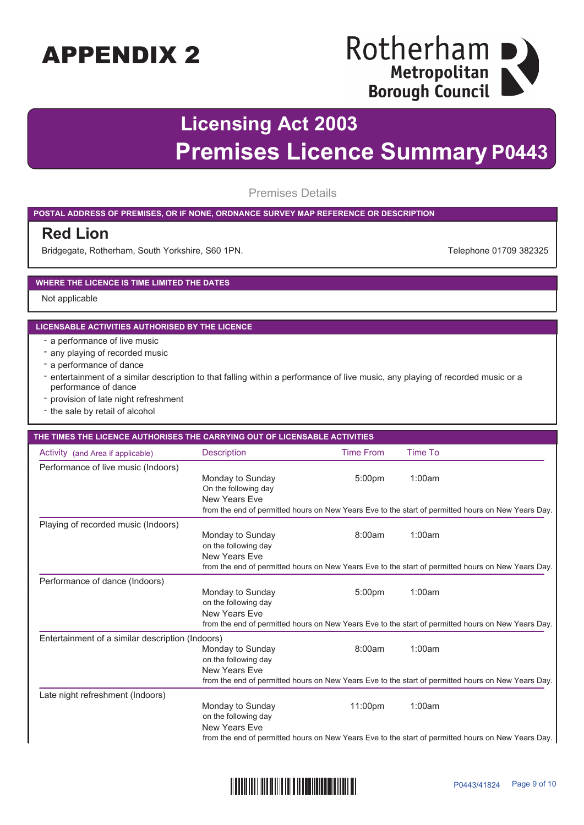## Rotherham D) Metropolitan **Borough Council**

## **Licensing Act 2003 Premises Licence Summary P0443**

Premises Details

#### **POSTAL ADDRESS OF PREMISES, OR IF NONE, ORDNANCE SURVEY MAP REFERENCE OR DESCRIPTION**

#### **Red Lion**

Bridgegate, Rotherham, South Yorkshire, S60 1PN. Telephone 01709 382325

#### **WHERE THE LICENCE IS TIME LIMITED THE DATES**

Not applicable

#### **LICENSABLE ACTIVITIES AUTHORISED BY THE LICENCE**

- a performance of live music

- any playing of recorded music
- a performance of dance
- entertainment of a similar description to that falling within a performance of live music, any playing of recorded music or a performance of dance
- provision of late night refreshment
- the sale by retail of alcohol

| Activity (and Area if applicable)                | <b>Description</b>                                                                                 | <b>Time From</b> | <b>Time To</b> |  |
|--------------------------------------------------|----------------------------------------------------------------------------------------------------|------------------|----------------|--|
| Performance of live music (Indoors)              |                                                                                                    |                  |                |  |
|                                                  | Monday to Sunday                                                                                   | 5:00pm           | 1:00am         |  |
|                                                  | On the following day                                                                               |                  |                |  |
|                                                  | New Years Eve                                                                                      |                  |                |  |
|                                                  | from the end of permitted hours on New Years Eve to the start of permitted hours on New Years Day. |                  |                |  |
| Playing of recorded music (Indoors)              |                                                                                                    |                  |                |  |
|                                                  | Monday to Sunday                                                                                   | 8:00am           | 1:00am         |  |
|                                                  | on the following day                                                                               |                  |                |  |
|                                                  | New Years Eve                                                                                      |                  |                |  |
|                                                  | from the end of permitted hours on New Years Eve to the start of permitted hours on New Years Day. |                  |                |  |
| Performance of dance (Indoors)                   |                                                                                                    |                  |                |  |
|                                                  | Monday to Sunday                                                                                   | 5:00pm           | 1:00am         |  |
|                                                  | on the following day                                                                               |                  |                |  |
|                                                  | New Years Eve                                                                                      |                  |                |  |
|                                                  | from the end of permitted hours on New Years Eve to the start of permitted hours on New Years Day. |                  |                |  |
| Entertainment of a similar description (Indoors) |                                                                                                    |                  |                |  |
|                                                  | Monday to Sunday                                                                                   | 8:00am           | 1:00am         |  |
|                                                  | on the following day                                                                               |                  |                |  |
|                                                  | New Years Eve                                                                                      |                  |                |  |
|                                                  | from the end of permitted hours on New Years Eve to the start of permitted hours on New Years Day. |                  |                |  |
| Late night refreshment (Indoors)                 |                                                                                                    |                  |                |  |
|                                                  | Monday to Sunday                                                                                   | 11:00pm          | 1:00am         |  |
|                                                  | on the following day                                                                               |                  |                |  |
|                                                  | New Years Eve                                                                                      |                  |                |  |
|                                                  | from the end of permitted hours on New Years Eve to the start of permitted hours on New Years Day. |                  |                |  |